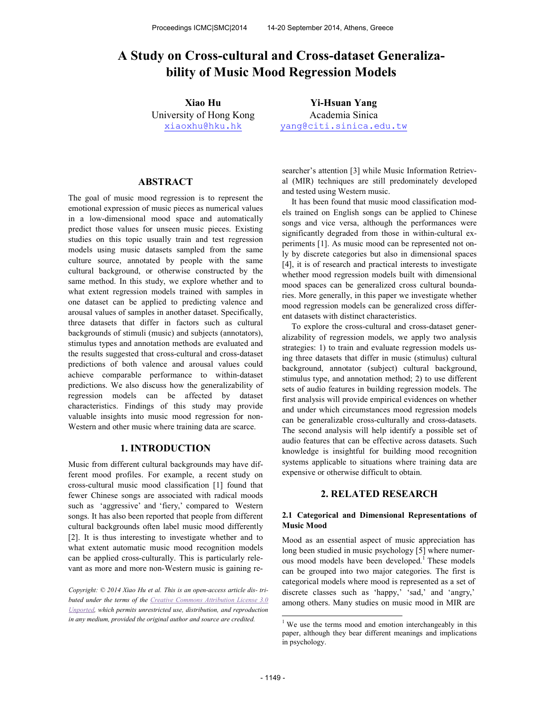# **bility of Music Mood Regression Models**

University of Hong Kong xiaoxhu@hku.hk

**Xiao Hu Yi-Hsuan Yang**  Academia Sinica yang@citi.sinica.edu.tw

# **ABSTRACT**

**A Study on Cross-cultural and Cross-dataset Generaliza-**<br> **A Study on Cross-cultural and Cross-dataset Generaliza-**<br> **A Study on Cross-cultural and Cross-dataset Generaliza-**<br> **Xiao Hu**<br>
University of Music Mood Regressio The goal of music mood regression is to represent the emotional expression of music pieces as numerical values in a low-dimensional mood space and automatically predict those values for unseen music pieces. Existing studies on this topic usually train and test regression models using music datasets sampled from the same culture source, annotated by people with the same cultural background, or otherwise constructed by the same method. In this study, we explore whether and to what extent regression models trained with samples in one dataset can be applied to predicting valence and arousal values of samples in another dataset. Specifically, three datasets that differ in factors such as cultural backgrounds of stimuli (music) and subjects (annotators), stimulus types and annotation methods are evaluated and the results suggested that cross-cultural and cross-dataset predictions of both valence and arousal values could achieve comparable performance to within-dataset predictions. We also discuss how the generalizability of regression models can be affected by dataset characteristics. Findings of this study may provide valuable insights into music mood regression for non-Western and other music where training data are scarce.

# **1. INTRODUCTION**

Music from different cultural backgrounds may have different mood profiles. For example, a recent study on cross-cultural music mood classification [1] found that fewer Chinese songs are associated with radical moods such as 'aggressive' and 'fiery,' compared to Western songs. It has also been reported that people from different cultural backgrounds often label music mood differently [2]. It is thus interesting to investigate whether and to what extent automatic music mood recognition models can be applied cross-culturally. This is particularly relevant as more and more non-Western music is gaining re-

*Copyright: © 2014 Xiao Hu et al. This is an open-access article dis- tributed under the terms of the Creative Commons Attribution License 3.0 Unported, which permits unrestricted use, distribution, and reproduction in any medium, provided the original author and source are credited.* 

searcher's attention [3] while Music Information Retrieval (MIR) techniques are still predominately developed and tested using Western music.

It has been found that music mood classification models trained on English songs can be applied to Chinese songs and vice versa, although the performances were significantly degraded from those in within-cultural experiments [1]. As music mood can be represented not only by discrete categories but also in dimensional spaces [4], it is of research and practical interests to investigate whether mood regression models built with dimensional mood spaces can be generalized cross cultural boundaries. More generally, in this paper we investigate whether mood regression models can be generalized cross different datasets with distinct characteristics.

To explore the cross-cultural and cross-dataset generalizability of regression models, we apply two analysis strategies: 1) to train and evaluate regression models using three datasets that differ in music (stimulus) cultural background, annotator (subject) cultural background, stimulus type, and annotation method; 2) to use different sets of audio features in building regression models. The first analysis will provide empirical evidences on whether and under which circumstances mood regression models can be generalizable cross-culturally and cross-datasets. The second analysis will help identify a possible set of audio features that can be effective across datasets. Such knowledge is insightful for building mood recognition systems applicable to situations where training data are expensive or otherwise difficult to obtain.

# **2. RELATED RESEARCH**

## **2.1 Categorical and Dimensional Representations of Music Mood**

Mood as an essential aspect of music appreciation has long been studied in music psychology [5] where numerous mood models have been developed.<sup>1</sup> These models can be grouped into two major categories. The first is categorical models where mood is represented as a set of discrete classes such as 'happy,' 'sad,' and 'angry,' among others. Many studies on music mood in MIR are

 $\overline{a}$ 

<sup>&</sup>lt;sup>1</sup> We use the terms mood and emotion interchangeably in this paper, although they bear different meanings and implications in psychology.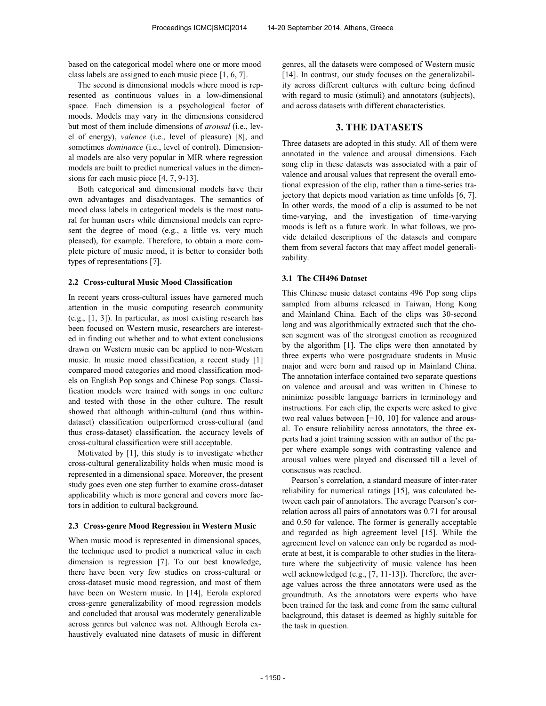based on the categorical model where one or more mood class labels are assigned to each music piece [1, 6, 7].

The second is dimensional models where mood is represented as continuous values in a low-dimensional space. Each dimension is a psychological factor of moods. Models may vary in the dimensions considered but most of them include dimensions of *arousal* (i.e., level of energy), *valence* (i.e., level of pleasure) [8], and sometimes *dominance* (i.e., level of control). Dimensional models are also very popular in MIR where regression models are built to predict numerical values in the dimensions for each music piece [4, 7, 9-13].

Both categorical and dimensional models have their own advantages and disadvantages. The semantics of mood class labels in categorical models is the most natural for human users while dimensional models can represent the degree of mood (e.g., a little vs. very much pleased), for example. Therefore, to obtain a more complete picture of music mood, it is better to consider both types of representations [7].

#### **2.2 Cross-cultural Music Mood Classification**

In recent years cross-cultural issues have garnered much attention in the music computing research community (e.g., [1, 3]). In particular, as most existing research has been focused on Western music, researchers are interested in finding out whether and to what extent conclusions drawn on Western music can be applied to non-Western music. In music mood classification, a recent study [1] compared mood categories and mood classification models on English Pop songs and Chinese Pop songs. Classification models were trained with songs in one culture and tested with those in the other culture. The result showed that although within-cultural (and thus withindataset) classification outperformed cross-cultural (and thus cross-dataset) classification, the accuracy levels of cross-cultural classification were still acceptable.

Motivated by [1], this study is to investigate whether cross-cultural generalizability holds when music mood is represented in a dimensional space. Moreover, the present study goes even one step further to examine cross-dataset applicability which is more general and covers more factors in addition to cultural background.

#### **2.3 Cross-genre Mood Regression in Western Music**

When music mood is represented in dimensional spaces, the technique used to predict a numerical value in each dimension is regression [7]. To our best knowledge, there have been very few studies on cross-cultural or cross-dataset music mood regression, and most of them have been on Western music. In [14], Eerola explored cross-genre generalizability of mood regression models and concluded that arousal was moderately generalizable across genres but valence was not. Although Eerola exhaustively evaluated nine datasets of music in different

genres, all the datasets were composed of Western music [14]. In contrast, our study focuses on the generalizability across different cultures with culture being defined with regard to music (stimuli) and annotators (subjects), and across datasets with different characteristics.

# **3. THE DATASETS**

Three datasets are adopted in this study. All of them were annotated in the valence and arousal dimensions. Each song clip in these datasets was associated with a pair of valence and arousal values that represent the overall emotional expression of the clip, rather than a time-series trajectory that depicts mood variation as time unfolds [6, 7]. In other words, the mood of a clip is assumed to be not time-varying, and the investigation of time-varying moods is left as a future work. In what follows, we provide detailed descriptions of the datasets and compare them from several factors that may affect model generalizability.

# **3.1 The CH496 Dataset**

This Chinese music dataset contains 496 Pop song clips sampled from albums released in Taiwan, Hong Kong and Mainland China. Each of the clips was 30-second long and was algorithmically extracted such that the chosen segment was of the strongest emotion as recognized by the algorithm [1]. The clips were then annotated by three experts who were postgraduate students in Music major and were born and raised up in Mainland China. The annotation interface contained two separate questions on valence and arousal and was written in Chinese to minimize possible language barriers in terminology and instructions. For each clip, the experts were asked to give two real values between [−10, 10] for valence and arousal. To ensure reliability across annotators, the three experts had a joint training session with an author of the paper where example songs with contrasting valence and arousal values were played and discussed till a level of consensus was reached.

Pearson's correlation, a standard measure of inter-rater reliability for numerical ratings [15], was calculated between each pair of annotators. The average Pearson's correlation across all pairs of annotators was 0.71 for arousal and 0.50 for valence. The former is generally acceptable and regarded as high agreement level [15]. While the agreement level on valence can only be regarded as moderate at best, it is comparable to other studies in the literature where the subjectivity of music valence has been well acknowledged (e.g., [7, 11-13]). Therefore, the average values across the three annotators were used as the groundtruth. As the annotators were experts who have been trained for the task and come from the same cultural background, this dataset is deemed as highly suitable for the task in question.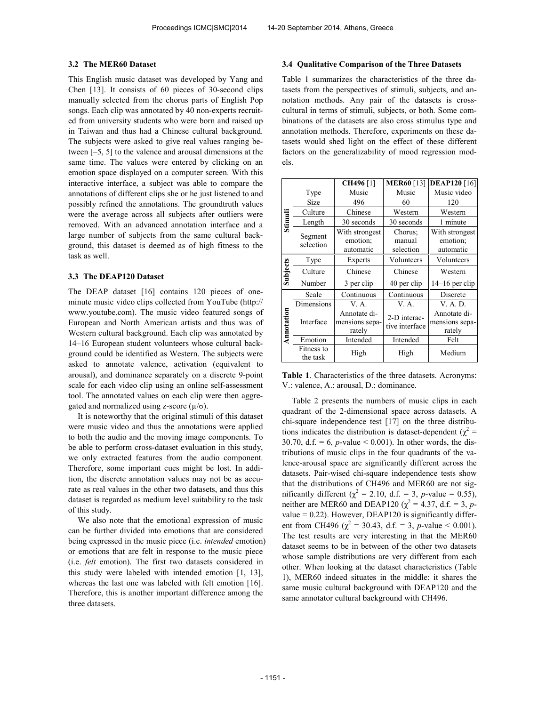#### **3.2 The MER60 Dataset**

This English music dataset was developed by Yang and Chen [13]. It consists of 60 pieces of 30-second clips manually selected from the chorus parts of English Pop songs. Each clip was annotated by 40 non-experts recruited from university students who were born and raised up in Taiwan and thus had a Chinese cultural background. The subjects were asked to give real values ranging between [–5, 5] to the valence and arousal dimensions at the same time. The values were entered by clicking on an emotion space displayed on a computer screen. With this interactive interface, a subject was able to compare the annotations of different clips she or he just listened to and possibly refined the annotations. The groundtruth values were the average across all subjects after outliers were removed. With an advanced annotation interface and a large number of subjects from the same cultural background, this dataset is deemed as of high fitness to the task as well.

#### **3.3 The DEAP120 Dataset**

The DEAP dataset [16] contains 120 pieces of oneminute music video clips collected from YouTube (http:// www.youtube.com). The music video featured songs of European and North American artists and thus was of Western cultural background. Each clip was annotated by 14–16 European student volunteers whose cultural background could be identified as Western. The subjects were asked to annotate valence, activation (equivalent to arousal), and dominance separately on a discrete 9-point scale for each video clip using an online self-assessment tool. The annotated values on each clip were then aggregated and normalized using z-score  $(\mu/\sigma)$ .

It is noteworthy that the original stimuli of this dataset were music video and thus the annotations were applied to both the audio and the moving image components. To be able to perform cross-dataset evaluation in this study, we only extracted features from the audio component. Therefore, some important cues might be lost. In addition, the discrete annotation values may not be as accurate as real values in the other two datasets, and thus this dataset is regarded as medium level suitability to the task of this study.

We also note that the emotional expression of music can be further divided into emotions that are considered being expressed in the music piece (i.e. *intended* emotion) or emotions that are felt in response to the music piece (i.e. *felt* emotion). The first two datasets considered in this study were labeled with intended emotion [1, 13], whereas the last one was labeled with felt emotion [16]. Therefore, this is another important difference among the three datasets.

## **3.4 Qualitative Comparison of the Three Datasets**

Table 1 summarizes the characteristics of the three datasets from the perspectives of stimuli, subjects, and annotation methods. Any pair of the datasets is crosscultural in terms of stimuli, subjects, or both. Some combinations of the datasets are also cross stimulus type and annotation methods. Therefore, experiments on these datasets would shed light on the effect of these different factors on the generalizability of mood regression models.

|            |                        | <b>CH496</b>                             | <b>MER60</b> [13]              | <b>DEAP120</b> [16]                      |  |
|------------|------------------------|------------------------------------------|--------------------------------|------------------------------------------|--|
|            | Type                   | Music                                    | Music                          | Music video                              |  |
|            | Size                   | 496                                      | 60                             | 120                                      |  |
|            | Culture                | Chinese                                  | Western                        | Western                                  |  |
| Stimuli    | Length                 | 30 seconds                               | 30 seconds                     | 1 minute                                 |  |
|            | Segment<br>selection   | With strongest<br>emotion;<br>automatic  | Chorus:<br>manual<br>selection | With strongest<br>emotion;<br>automatic  |  |
|            | Type                   | Experts                                  | Volunteers                     | Volunteers                               |  |
| Subjects   | Culture                | Chinese                                  | Chinese                        | Western                                  |  |
|            | Number                 | 3 per clip                               | 40 per clip                    | $14-16$ per clip                         |  |
|            | Scale                  | Continuous                               | Continuous                     | Discrete                                 |  |
|            | Dimensions             | V. A.                                    | V. A.                          | V. A. D.                                 |  |
| Annotation | Interface              | Annotate di-<br>mensions sepa-<br>rately | 2-D interac-<br>tive interface | Annotate di-<br>mensions sepa-<br>rately |  |
|            | Emotion                | Intended                                 | Intended                       | Felt                                     |  |
|            | Fitness to<br>the task | High                                     | High                           | Medium                                   |  |

**Table 1**. Characteristics of the three datasets. Acronyms: V.: valence, A.: arousal, D.: dominance.

Table 2 presents the numbers of music clips in each quadrant of the 2-dimensional space across datasets. A chi-square independence test [17] on the three distributions indicates the distribution is dataset-dependent ( $\chi^2$  = 30.70, d.f.  $= 6$ , *p*-value  $< 0.001$ ). In other words, the distributions of music clips in the four quadrants of the valence-arousal space are significantly different across the datasets. Pair-wised chi-square independence tests show that the distributions of CH496 and MER60 are not significantly different ( $\chi^2 = 2.10$ , d.f. = 3, *p*-value = 0.55), neither are MER60 and DEAP120 ( $\chi^2 = 4.37$ , d.f. = 3, *p*value  $= 0.22$ ). However, DEAP120 is significantly different from CH496 ( $\chi^2$  = 30.43, d.f. = 3, *p*-value < 0.001). The test results are very interesting in that the MER60 dataset seems to be in between of the other two datasets whose sample distributions are very different from each other. When looking at the dataset characteristics (Table 1), MER60 indeed situates in the middle: it shares the same music cultural background with DEAP120 and the same annotator cultural background with CH496.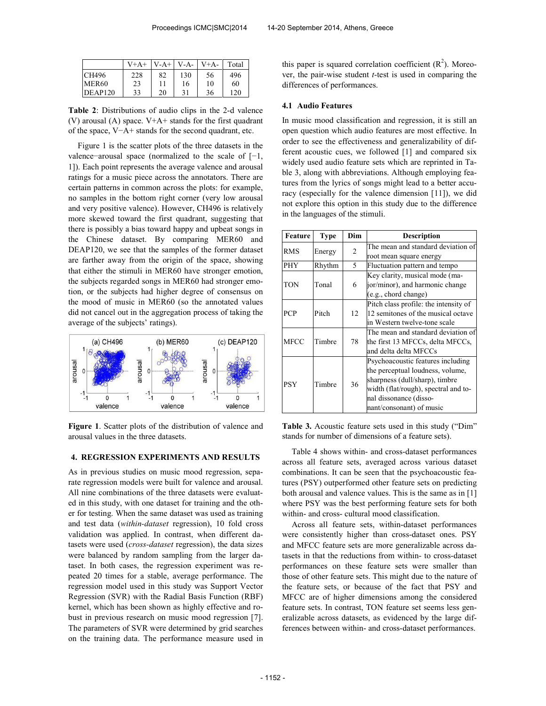|              | $V+A+$ | $V-A+$ | $V-A-$ | $V+A-$ | Total |
|--------------|--------|--------|--------|--------|-------|
| <b>CH496</b> | 228    | 82     | 130    | 56     | 496   |
| MER60        | 23     | 11     | 16     | 10     | 60    |
| DEAP120      | 33     | 20     | 31     | 36     | 120   |

**Table 2**: Distributions of audio clips in the 2-d valence (V) arousal (A) space.  $V+A+$  stands for the first quadrant of the space, V−A+ stands for the second quadrant, etc.

Figure 1 is the scatter plots of the three datasets in the valence−arousal space (normalized to the scale of [−1, 1]). Each point represents the average valence and arousal ratings for a music piece across the annotators. There are certain patterns in common across the plots: for example, no samples in the bottom right corner (very low arousal and very positive valence). However, CH496 is relatively more skewed toward the first quadrant, suggesting that there is possibly a bias toward happy and upbeat songs in the Chinese dataset. By comparing MER60 and DEAP120, we see that the samples of the former dataset are farther away from the origin of the space, showing that either the stimuli in MER60 have stronger emotion, the subjects regarded songs in MER60 had stronger emotion, or the subjects had higher degree of consensus on the mood of music in MER60 (so the annotated values did not cancel out in the aggregation process of taking the average of the subjects' ratings).



**Figure 1**. Scatter plots of the distribution of valence and arousal values in the three datasets.

## **4. REGRESSION EXPERIMENTS AND RESULTS**

As in previous studies on music mood regression, separate regression models were built for valence and arousal. All nine combinations of the three datasets were evaluated in this study, with one dataset for training and the other for testing. When the same dataset was used as training and test data (*within-dataset* regression), 10 fold cross validation was applied. In contrast, when different datasets were used (*cross-dataset* regression), the data sizes were balanced by random sampling from the larger dataset. In both cases, the regression experiment was repeated 20 times for a stable, average performance. The regression model used in this study was Support Vector Regression (SVR) with the Radial Basis Function (RBF) kernel, which has been shown as highly effective and robust in previous research on music mood regression [7]. The parameters of SVR were determined by grid searches on the training data. The performance measure used in

this paper is squared correlation coefficient  $(R^2)$ . Moreover, the pair-wise student *t*-test is used in comparing the differences of performances.

#### **4.1 Audio Features**

In music mood classification and regression, it is still an open question which audio features are most effective. In order to see the effectiveness and generalizability of different acoustic cues, we followed [1] and compared six widely used audio feature sets which are reprinted in Table 3, along with abbreviations. Although employing features from the lyrics of songs might lead to a better accuracy (especially for the valence dimension [11]), we did not explore this option in this study due to the difference in the languages of the stimuli.

| Feature     | Type   | Dim | <b>Description</b>                    |
|-------------|--------|-----|---------------------------------------|
| <b>RMS</b>  |        | 2   | The mean and standard deviation of    |
|             | Energy |     | root mean square energy               |
| <b>PHY</b>  | Rhythm | 5   | Fluctuation pattern and tempo         |
|             |        |     | Key clarity, musical mode (ma-        |
| TON         | Tonal  | 6   | jor/minor), and harmonic change       |
|             |        |     | (e.g., chord change)                  |
|             |        |     | Pitch class profile: the intensity of |
| <b>PCP</b>  | Pitch  | 12  | 12 semitones of the musical octave    |
|             |        |     | in Western twelve-tone scale          |
|             |        | 78  | The mean and standard deviation of    |
| <b>MFCC</b> | Timbre |     | the first 13 MFCCs, delta MFCCs,      |
|             |        |     | and delta delta MFCCs                 |
|             | Timbre | 36  | Psychoacoustic features including     |
|             |        |     | the perceptual loudness, volume,      |
| <b>PSY</b>  |        |     | sharpness (dull/sharp), timbre        |
|             |        |     | width (flat/rough), spectral and to-  |
|             |        |     | nal dissonance (disso-                |
|             |        |     | nant/consonant) of music              |

**Table 3.** Acoustic feature sets used in this study ("Dim" stands for number of dimensions of a feature sets).

Table 4 shows within- and cross-dataset performances across all feature sets, averaged across various dataset combinations. It can be seen that the psychoacoustic features (PSY) outperformed other feature sets on predicting both arousal and valence values. This is the same as in [1] where PSY was the best performing feature sets for both within- and cross- cultural mood classification.

Across all feature sets, within-dataset performances were consistently higher than cross-dataset ones. PSY and MFCC feature sets are more generalizable across datasets in that the reductions from within- to cross-dataset performances on these feature sets were smaller than those of other feature sets. This might due to the nature of the feature sets, or because of the fact that PSY and MFCC are of higher dimensions among the considered feature sets. In contrast, TON feature set seems less generalizable across datasets, as evidenced by the large differences between within- and cross-dataset performances.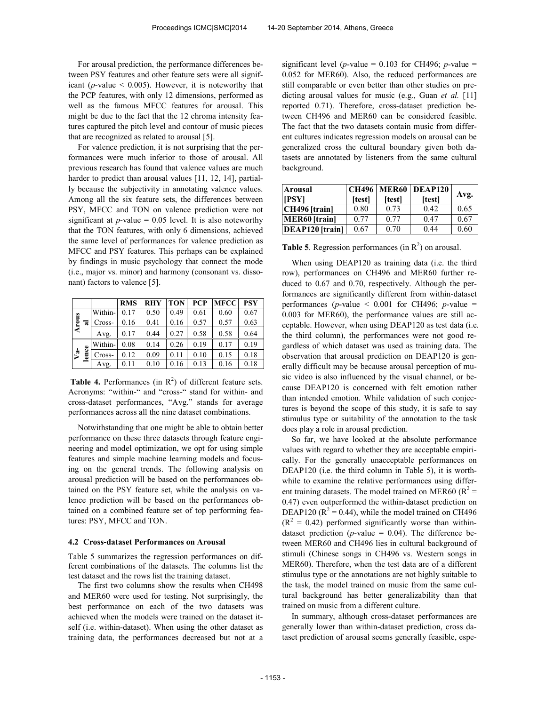For arousal prediction, the performance differences between PSY features and other feature sets were all significant ( $p$ -value  $\leq$  0.005). However, it is noteworthy that the PCP features, with only 12 dimensions, performed as well as the famous MFCC features for arousal. This might be due to the fact that the 12 chroma intensity features captured the pitch level and contour of music pieces that are recognized as related to arousal [5].

For valence prediction, it is not surprising that the performances were much inferior to those of arousal. All previous research has found that valence values are much harder to predict than arousal values [11, 12, 14], partially because the subjectivity in annotating valence values. Among all the six feature sets, the differences between PSY, MFCC and TON on valence prediction were not significant at  $p$ -value = 0.05 level. It is also noteworthy that the TON features, with only 6 dimensions, achieved the same level of performances for valence prediction as MFCC and PSY features. This perhaps can be explained by findings in music psychology that connect the mode (i.e., major vs. minor) and harmony (consonant vs. dissonant) factors to valence [5].

|              |           |         | <b>RMS</b> | <b>RHY</b> | <b>TON</b> | <b>PCP</b> | <b>MFCC</b> | <b>PSY</b> |
|--------------|-----------|---------|------------|------------|------------|------------|-------------|------------|
|              |           | Within- | 0.17       | 0.50       | 0.49       | 0.61       | 0.60        | 0.67       |
| <b>Arous</b> | ನ         | Cross-  | 0.16       | 0.41       | 0.16       | 0.57       | 0.57        | 0.63       |
|              |           | Avg.    | 0.17       | 0.44       | 0.27       | 0.58       | 0.58        | 0.64       |
|              | $\bullet$ | Within- | 0.08       | 0.14       | 0.26       | 0.19       | 0.17        | 0.19       |
| $\mathbf{v}$ | Ō<br>5    | Cross-  | 0.12       | 0.09       | 0.11       | 0.10       | 0.15        | 0.18       |
|              |           | Avg.    | 0.11       | 0.10       | 0.16       | 0.13       | 0.16        | 0.18       |

**Table 4.** Performances (in  $R^2$ ) of different feature sets. Acronyms: "within-" and "cross-" stand for within- and cross-dataset performances, "Avg." stands for average performances across all the nine dataset combinations.

Notwithstanding that one might be able to obtain better performance on these three datasets through feature engineering and model optimization, we opt for using simple features and simple machine learning models and focusing on the general trends. The following analysis on arousal prediction will be based on the performances obtained on the PSY feature set, while the analysis on valence prediction will be based on the performances obtained on a combined feature set of top performing features: PSY, MFCC and TON.

#### **4.2 Cross-dataset Performances on Arousal**

Table 5 summarizes the regression performances on different combinations of the datasets. The columns list the test dataset and the rows list the training dataset.

The first two columns show the results when CH498 and MER60 were used for testing. Not surprisingly, the best performance on each of the two datasets was achieved when the models were trained on the dataset itself (i.e. within-dataset). When using the other dataset as training data, the performances decreased but not at a significant level ( $p$ -value = 0.103 for CH496;  $p$ -value = 0.052 for MER60). Also, the reduced performances are still comparable or even better than other studies on predicting arousal values for music (e.g., Guan *et al.* [11] reported 0.71). Therefore, cross-dataset prediction between CH496 and MER60 can be considered feasible. The fact that the two datasets contain music from different cultures indicates regression models on arousal can be generalized cross the cultural boundary given both datasets are annotated by listeners from the same cultural background.

| Arousal                |        |        | <b>CH496 MER60 DEAP120</b> |      |
|------------------------|--------|--------|----------------------------|------|
| [PSY]                  | [test] | [test] | [test]                     | Avg. |
| CH496 [train]          | 0.80   | 0.73   | 0.42                       | 0.65 |
| <b>MER60</b> [train]   | 0.77   | 0.77   | 0.47                       | 0.67 |
| <b>DEAP120</b> [train] | 0.67   | 0.70   | 0.44                       | 0.60 |

**Table 5**. Regression performances (in  $R^2$ ) on arousal.

When using DEAP120 as training data (i.e. the third row), performances on CH496 and MER60 further reduced to 0.67 and 0.70, respectively. Although the performances are significantly different from within-dataset performances ( $p$ -value < 0.001 for CH496;  $p$ -value = 0.003 for MER60), the performance values are still acceptable. However, when using DEAP120 as test data (i.e. the third column), the performances were not good regardless of which dataset was used as training data. The observation that arousal prediction on DEAP120 is generally difficult may be because arousal perception of music video is also influenced by the visual channel, or because DEAP120 is concerned with felt emotion rather than intended emotion. While validation of such conjectures is beyond the scope of this study, it is safe to say stimulus type or suitability of the annotation to the task does play a role in arousal prediction.

So far, we have looked at the absolute performance values with regard to whether they are acceptable empirically. For the generally unacceptable performances on DEAP120 (i.e. the third column in Table 5), it is worthwhile to examine the relative performances using different training datasets. The model trained on MER60 ( $R^2$  = 0.47) even outperformed the within-dataset prediction on DEAP120 ( $R^2$  = 0.44), while the model trained on CH496  $(R<sup>2</sup> = 0.42)$  performed significantly worse than withindataset prediction ( $p$ -value = 0.04). The difference between MER60 and CH496 lies in cultural background of stimuli (Chinese songs in CH496 vs. Western songs in MER60). Therefore, when the test data are of a different stimulus type or the annotations are not highly suitable to the task, the model trained on music from the same cultural background has better generalizability than that trained on music from a different culture.

In summary, although cross-dataset performances are generally lower than within-dataset prediction, cross dataset prediction of arousal seems generally feasible, espe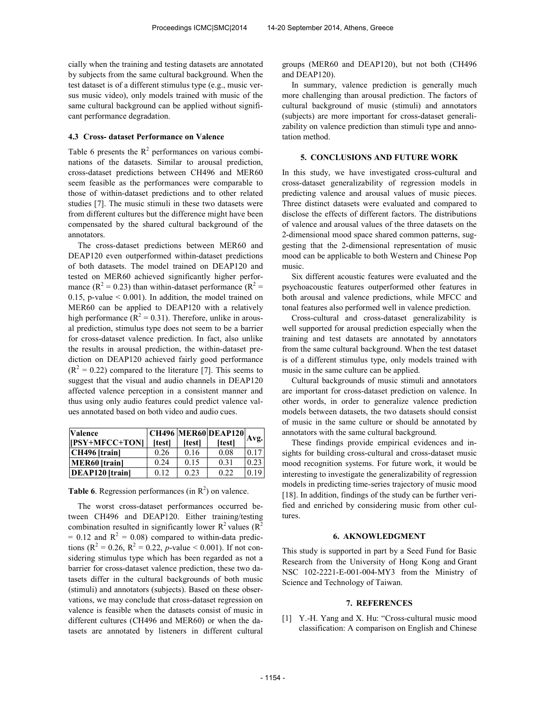cially when the training and testing datasets are annotated by subjects from the same cultural background. When the test dataset is of a different stimulus type (e.g., music versus music video), only models trained with music of the same cultural background can be applied without significant performance degradation.

# **4.3 Cross- dataset Performance on Valence**

Table 6 presents the  $R^2$  performances on various combinations of the datasets. Similar to arousal prediction, cross-dataset predictions between CH496 and MER60 seem feasible as the performances were comparable to those of within-dataset predictions and to other related studies [7]. The music stimuli in these two datasets were from different cultures but the difference might have been compensated by the shared cultural background of the annotators.

The cross-dataset predictions between MER60 and DEAP120 even outperformed within-dataset predictions of both datasets. The model trained on DEAP120 and tested on MER60 achieved significantly higher performance ( $R^2 = 0.23$ ) than within-dataset performance ( $R^2 =$ 0.15, p-value < 0.001). In addition, the model trained on MER60 can be applied to DEAP120 with a relatively high performance ( $R^2 = 0.31$ ). Therefore, unlike in arousal prediction, stimulus type does not seem to be a barrier for cross-dataset valence prediction. In fact, also unlike the results in arousal prediction, the within-dataset prediction on DEAP120 achieved fairly good performance  $(R<sup>2</sup> = 0.22)$  compared to the literature [7]. This seems to suggest that the visual and audio channels in DEAP120 affected valence perception in a consistent manner and thus using only audio features could predict valence values annotated based on both video and audio cues.

| <b>Valence</b>         |               |              | <b>CH496 MER60 DEAP120</b> |      |
|------------------------|---------------|--------------|----------------------------|------|
| [[PSY+MFCC+TON]        | <b>Itestl</b> | <b>Itest</b> | [test]                     | Avg. |
| CH496 [train]          | 0.26          | 0.16         | 0.08                       | 017  |
| <b>MER60</b> [train]   | 0.24          | 0.15         | 0.31                       | 0.23 |
| <b>DEAP120</b> [train] | 0.12          | 0.23         | 0.22                       | 0.19 |

**Table 6**. Regression performances (in  $R^2$ ) on valence.

The worst cross-dataset performances occurred between CH496 and DEAP120. Either training/testing combination resulted in significantly lower  $R^2$  values  $(R^2)$  $= 0.12$  and  $R^2 = 0.08$ ) compared to within-data predictions ( $R^2 = 0.26$ ,  $R^2 = 0.22$ , *p*-value < 0.001). If not considering stimulus type which has been regarded as not a barrier for cross-dataset valence prediction, these two datasets differ in the cultural backgrounds of both music (stimuli) and annotators (subjects). Based on these observations, we may conclude that cross-dataset regression on valence is feasible when the datasets consist of music in different cultures (CH496 and MER60) or when the datasets are annotated by listeners in different cultural groups (MER60 and DEAP120), but not both (CH496 and DEAP120).

In summary, valence prediction is generally much more challenging than arousal prediction. The factors of cultural background of music (stimuli) and annotators (subjects) are more important for cross-dataset generalizability on valence prediction than stimuli type and annotation method.

#### **5. CONCLUSIONS AND FUTURE WORK**

In this study, we have investigated cross-cultural and cross-dataset generalizability of regression models in predicting valence and arousal values of music pieces. Three distinct datasets were evaluated and compared to disclose the effects of different factors. The distributions of valence and arousal values of the three datasets on the 2-dimensional mood space shared common patterns, suggesting that the 2-dimensional representation of music mood can be applicable to both Western and Chinese Pop music.

Six different acoustic features were evaluated and the psychoacoustic features outperformed other features in both arousal and valence predictions, while MFCC and tonal features also performed well in valence prediction.

Cross-cultural and cross-dataset generalizability is well supported for arousal prediction especially when the training and test datasets are annotated by annotators from the same cultural background. When the test dataset is of a different stimulus type, only models trained with music in the same culture can be applied.

Cultural backgrounds of music stimuli and annotators are important for cross-dataset prediction on valence. In other words, in order to generalize valence prediction models between datasets, the two datasets should consist of music in the same culture or should be annotated by annotators with the same cultural background.

These findings provide empirical evidences and insights for building cross-cultural and cross-dataset music mood recognition systems. For future work, it would be interesting to investigate the generalizability of regression models in predicting time-series trajectory of music mood [18]. In addition, findings of the study can be further verified and enriched by considering music from other cultures.

#### **6. AKNOWLEDGMENT**

This study is supported in part by a Seed Fund for Basic Research from the University of Hong Kong and Grant NSC 102-2221-E-001-004-MY3 from the Ministry of Science and Technology of Taiwan.

# **7. REFERENCES**

[1] Y.-H. Yang and X. Hu: "Cross-cultural music mood classification: A comparison on English and Chinese